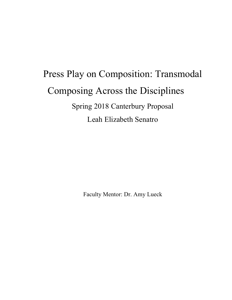# Press Play on Composition: Transmodal Composing Across the Disciplines Spring 2018 Canterbury Proposal Leah Elizabeth Senatro

Faculty Mentor: Dr. Amy Lueck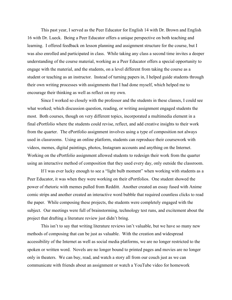This past year, I served as the Peer Educator for English 14 with Dr. Brown and English 16 with Dr. Lueck. Being a Peer Educator offers a unique perspective on both teaching and learning. I offered feedback on lesson planning and assignment structure for the course, but I was also enrolled and participated in class. While taking any class a second time invites a deeper understanding of the course material, working as a Peer Educator offers a special opportunity to engage with the material, and the students, on a level different from taking the course as a student or teaching as an instructor. Instead of turning papers in, I helped guide students through their own writing processes with assignments that I had done myself, which helped me to encourage their thinking as well as reflect on my own.

 Since I worked so closely with the professor and the students in these classes, I could see what worked; which discussion question, reading, or writing assignment engaged students the most. Both courses, though on very different topics, incorporated a multimedia element in a final ePortfolio where the students could revise, reflect, and add creative insights to their work from the quarter. The ePortfolio assignment involves using a type of composition not always used in classrooms. Using an online platform, students can reproduce their coursework with videos, memes, digital paintings, photos, Instagram accounts and anything on the Internet. Working on the ePortfolio assignment allowed students to redesign their work from the quarter using an interactive method of composition that they used every day, only outside the classroom.

 If I was ever lucky enough to see a "light bulb moment" when working with students as a Peer Educator, it was when they were working on their ePortfolios. One student showed the power of rhetoric with memes pulled from Redditt. Another created an essay fused with Anime comic strips and another created an interactive word bubble that required countless clicks to read the paper. While composing these projects, the students were completely engaged with the subject. Our meetings were full of brainstorming, technology test runs, and excitement about the project that drafting a literature review just didn't bring.

 This isn't to say that writing literature reviews isn't valuable, but we have so many new methods of composing that can be just as valuable. With the creation and widespread accessibility of the Internet as well as social media platforms, we are no longer restricted to the spoken or written word. Novels are no longer bound to printed pages and movies are no longer only in theaters. We can buy, read, and watch a story all from our couch just as we can communicate with friends about an assignment or watch a YouTube video for homework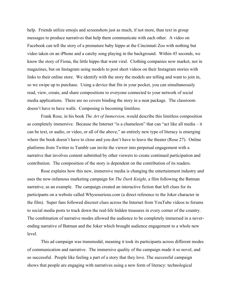help. Friends utilize emojis and screenshots just as much, if not more, than text in group messages to produce narratives that help them communicate with each other. A video on Facebook can tell the story of a premature baby hippo at the Cincinnati Zoo with nothing but video taken on an iPhone and a catchy song playing in the background. Within 45 seconds, we know the story of Fiona, the little hippo that went viral. Clothing companies now market, not in magazines, but on Instagram using models to post short videos on their Instagram stories with links to their online store. We identify with the story the models are telling and want to join in, so we swipe up to purchase. Using a device that fits in your pocket, you can simultaneously read, view, create, and share compositions to everyone connected to your network of social media applications. There are no covers binding the story in a neat package. The classroom doesn't have to have walls. Composing is becoming limitless.

Frank Rose, in his book *The Art of Immersion*, would describe this limitless composition as completely immersive. Because the Internet "is a chameleon" that can "act like all media – it can be text, or audio, or video, or all of the above," an entirely new type of literacy is emerging where the book doesn't have to close and you don't have to leave the theater (Rose 27). Online platforms from Twitter to Tumblr can invite the viewer into perpetual engagement with a narrative that involves content submitted by other viewers to create continued participation and contribution. The composition of the story is dependent on the contribution of its readers.

Rose explains how this new, immersive media is changing the entertainment industry and uses the now-infamous marketing campaign for *The Dark Knight*, a film following the Batman narrative, as an example. The campaign created an interactive fiction that left clues for its participants on a website called Whysoserious.com (a direct reference to the Joker character in the film). Super fans followed discreet clues across the Internet from YouTube videos to forums to social media posts to track down the real-life hidden treasures in every corner of the country. The combination of narrative modes allowed the audience to be completely immersed in a neverending narrative of Batman and the Joker which brought audience engagement to a whole new level.

This ad campaign was transmodal, meaning it took its participants across different modes of communication and narrative. The immersive quality of the campaign made it so novel, and so successful. People like feeling a part of a story that they love. The successful campaign shows that people are engaging with narratives using a new form of literacy: technological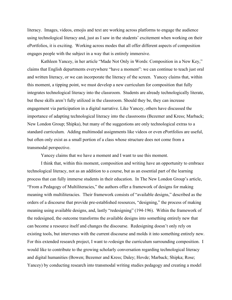literacy. Images, videos, emojis and text are working across platforms to engage the audience using technological literacy and, just as I saw in the students' excitement when working on their ePortfolios, it is exciting. Working across modes that all offer different aspects of composition engages people with the subject in a way that is entirely immersive.

Kathleen Yancey, in her article "Made Not Only in Words: Composition in a New Key," claims that English departments everywhere "have a moment": we can continue to teach just oral and written literacy, or we can incorporate the literacy of the screen. Yancey claims that, within this moment, a tipping point, we must develop a new curriculum for composition that fully integrates technological literacy into the classroom. Students are already technologically literate, but these skills aren't fully utilized in the classroom. Should they be, they can increase engagement via participation in a digital narrative. Like Yancey, others have discussed the importance of adapting technological literacy into the classrooms (Bezemer and Kress; Marback; New London Group; Shipka), but many of the suggestions are only technological extras to a standard curriculum. Adding multimodal assignments like videos or even ePortfolios are useful, but often only exist as a small portion of a class whose structure does not come from a transmodal perspective.

Yancey claims that we have a moment and I want to use this moment.

 I think that, within this moment, composition and writing have an opportunity to embrace technological literacy, not as an addition to a course, but as an essential part of the learning process that can fully immerse students in their education. In The New London Group's article, "From a Pedagogy of Multiliteracies," the authors offer a framework of designs for making meaning with multiliteracies. Their framework consists of "available designs," described as the orders of a discourse that provide pre-established resources, "designing," the process of making meaning using available designs, and, lastly "redesigning" (194-196). Within the framework of the redesigned, the outcome transforms the available designs into something entirely new that can become a resource itself and changes the discourse. Redesigning doesn't only rely on existing tools, but intervenes with the current discourse and molds it into something entirely new. For this extended research project, I want to *re*design the curriculum surrounding composition. I would like to contribute to the growing scholarly conversation regarding technological literacy and digital humanities (Bowen; Bezemer and Kress; Daley; Hovde; Marback; Shipka; Rose; Yancey) by conducting research into transmodal writing studies pedagogy and creating a model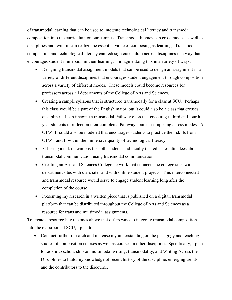of transmodal learning that can be used to integrate technological literacy and transmodal composition into the curriculum on our campus. Transmodal literacy can cross modes as well as disciplines and, with it, can realize the essential value of composing as learning. Transmodal composition and technological literacy can redesign curriculum across disciplines in a way that encourages student immersion in their learning. I imagine doing this in a variety of ways:

- Designing transmodal assignment models that can be used to design an assignment in a variety of different disciplines that encourages student engagement through composition across a variety of different modes. These models could become resources for professors across all departments of the College of Arts and Sciences.
- Creating a sample syllabus that is structured transmodally for a class at SCU. Perhaps this class would be a part of the English major, but it could also be a class that crosses disciplines. I can imagine a transmodal Pathway class that encourages third and fourth year students to reflect on their completed Pathway courses composing across modes. A CTW III could also be modeled that encourages students to practice their skills from CTW I and II within the immersive quality of technological literacy.
- Offering a talk on campus for both students and faculty that educates attendees about transmodal communication using transmodal communication.
- Creating an Arts and Sciences College network that connects the college sites with department sites with class sites and with online student projects. This interconnected and transmodal resource would serve to engage student learning long after the completion of the course.
- Presenting my research in a written piece that is published on a digital, transmodal platform that can be distributed throughout the College of Arts and Sciences as a resource for trans and multimodal assignments.

To create a resource like the ones above that offers ways to integrate transmodal composition into the classroom at SCU, I plan to:

• Conduct further research and increase my understanding on the pedagogy and teaching studies of composition courses as well as courses in other disciplines. Specifically, I plan to look into scholarship on multimodal writing, transmodality, and Writing Across the Disciplines to build my knowledge of recent history of the discipline, emerging trends, and the contributors to the discourse.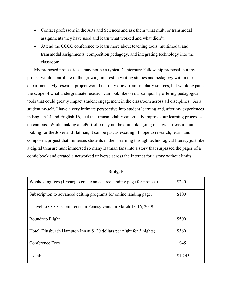- Contact professors in the Arts and Sciences and ask them what multi or transmodal assignments they have used and learn what worked and what didn't.
- Attend the CCCC conference to learn more about teaching tools, multimodal and transmodal assignments, composition pedagogy, and integrating technology into the classroom.

My proposed project ideas may not be a typical Canterbury Fellowship proposal, but my project would contribute to the growing interest in writing studies and pedagogy within our department. My research project would not only draw from scholarly sources, but would expand the scope of what undergraduate research can look like on our campus by offering pedagogical tools that could greatly impact student engagement in the classroom across all disciplines. As a student myself, I have a very intimate perspective into student learning and, after my experiences in English 14 and English 16, feel that transmodality can greatly improve our learning processes on campus. While making an ePortfolio may not be quite like going on a giant treasure hunt looking for the Joker and Batman, it can be just as exciting. I hope to research, learn, and compose a project that immerses students in their learning through technological literacy just like a digital treasure hunt immersed so many Batman fans into a story that surpassed the pages of a comic book and created a networked universe across the Internet for a story without limits.

| Webhosting fees (1 year) to create an ad-free landing page for project that | \$240   |
|-----------------------------------------------------------------------------|---------|
| Subscription to advanced editing programs for online landing page.          | \$100   |
| Travel to CCCC Conference in Pennsylvania in March 13-16, 2019              |         |
| Roundtrip Flight                                                            | \$500   |
| Hotel (Pittsburgh Hampton Inn at \$120 dollars per night for 3 nights)      | \$360   |
| Conference Fees                                                             | \$45    |
| Total:                                                                      | \$1,245 |

**Budget:**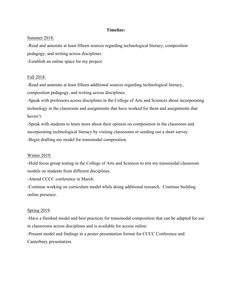#### **Timeline:**

#### Summer 2018:

-Read and annotate at least fifteen sources regarding technological literacy, composition pedagogy, and writing across disciplines.

-Establish an online space for my project.

### Fall 2018:

-Read and annotate at least fifteen additional sources regarding technological literacy, composition pedagogy, and writing across disciplines.

-Speak with professors across disciplines in the College of Arts and Sciences about incorporating technology in the classroom and assignments that have worked for them and assignments that haven't.

-Speak with students to learn more about their opinion on composition in the classroom and incorporating technological literacy by visiting classrooms or sending out a short survey. -Begin drafting my model for transmodal composition.

### Winter 2019:

-Hold focus group testing in the College of Arts and Sciences to test my transmodal classroom models on students from different disciplines.

-Attend CCCC conference in March.

-Continue working on curriculum model while doing additional research. Continue building online presence.

### Spring 2019:

-Have a finished model and best practices for transmodal composition that can be adapted for use in classrooms across disciplines and is available for access online.

-Present model and findings in a poster presentation format for CCCC Conference and Canterbury presentation.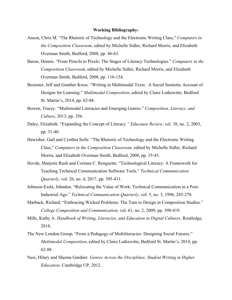#### **Working Bibliography:**

- Anson, Chris M. "The Rhetoric of Technology and the Electronic Writing Class," *Computers in the Composition Classroom*, edited by Michelle Sidler, Richard Morris, and Elizabeth Overman Smith, Bedford, 2008, pp. 46-63.
- Baron, Dennis. "From Pencils to Pixels: The Stages of Literacy Technologies." *Computers in the Composition Classroom*, edited by Michelle Sidler, Richard Morris, and Elizabeth Overman Smith, Bedford, 2008, pp. 116-134.
- Bezemer, Jeff and Gunther Kress. "Writing in Multimodal Texts: A Social Semiotic Account of Designs for Learning." *Multimodal Composition*, edited by Claire Lutkewitte, Bedford St. Martin's, 2014, pp. 62-88.
- Bowen, Tracey. "Multimodal Literacies and Emerging Genres." *Composition, Literacy, and Culture*, 2013, pp. 356.
- Daley, Elizabeth. "Expanding the Concept of Literacy*." Educause Review*, vol. 38, no. 2, 2003, pp. 31-40.
- Hawisher, Gail and Cynthia Selfe. "The Rhetoric of Technology and the Electronic Writing Class," *Computers in the Composition Classroom*, edited by Michelle Sidler, Richard Morris, and Elizabeth Overman Smith, Bedford, 2008, pp. 35-45.
- Hovde, Marjorie Rush and Corinne C. Renguette. "Technological Literacy: A Framework for Teaching Technical Communication Software Tools." *Technical Communication Quarterly*, vol. 26, no. 4, 2017, pp. 395-411.
- Johnson-Eiola, Johndon. "Relocating the Value of Work: Technical Communication in a Post-Industrial Age." *Technical Communication Quarterly*, vol. 5, no. 3, 1996, 245-270.
- Marback, Richard. "Embracing Wicked Problems: The Turn to Design in Composition Studies." *College Composition and Communication*, vol. 61, no. 2, 2009, pp. 398-419.
- Mills, Kathy A. *Handbook of Writing, Literacies, and Education in Digital Cultures*. Routledge, 2018.
- The New London Group, "From a Pedagogy of Multiliteracies: Designing Social Futures." *Multimodal Composition*, edited by Claire Lutkewitte, Bedford St. Martin's, 2014, pp. 62-88.
- Nesi, Hilary and Sheena Gardner. *Genres Across the Disciplines: Student Writing in Higher Education*. Cambridge UP, 2012.